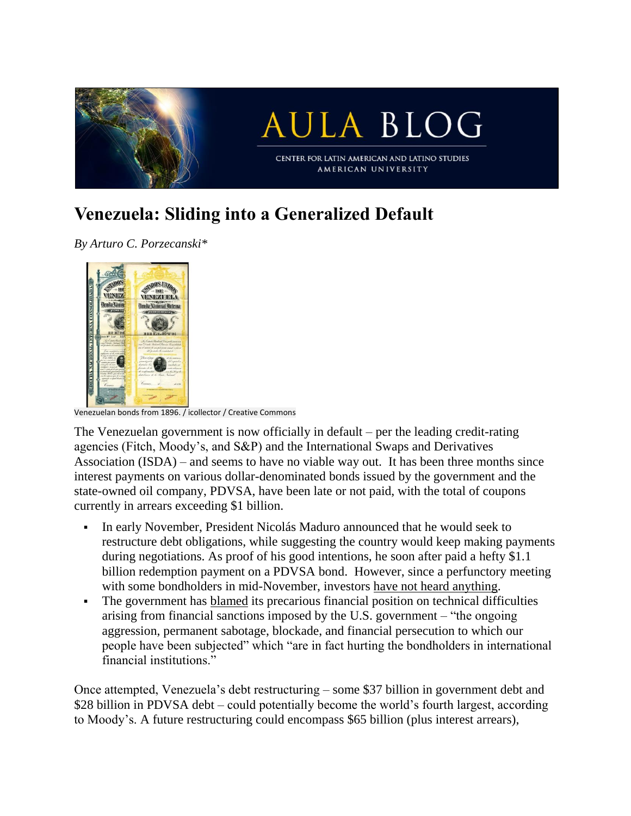

## **Venezuela: Sliding into a Generalized Default**

*By Arturo C. Porzecanski\**



Venezuelan bonds from 1896. / icollector / Creative Commons

The Venezuelan government is now officially in default – per the leading credit-rating agencies (Fitch, Moody's, and S&P) and the International Swaps and Derivatives Association (ISDA) – and seems to have no viable way out. It has been three months since interest payments on various dollar-denominated bonds issued by the government and the state-owned oil company, PDVSA, have been late or not paid, with the total of coupons currently in arrears exceeding \$1 billion.

- **•** In early November, President Nicolás Maduro announced that he would seek to restructure debt obligations, while suggesting the country would keep making payments during negotiations. As proof of his good intentions, he soon after paid a hefty \$1.1 billion redemption payment on a PDVSA bond. However, since a perfunctory meeting with some bondholders in mid-November, investors have not heard [anything.](https://www.bloomberg.com/news/articles/2017-12-19/venezuela-s-bond-investors-are-wondering-if-they-ve-been-dumped)
- The government has [blamed](http://www.pdvsa.com/index.php?option=com_content&view=article&id=8493:communique-presidential-commission-to-renegotiate-the-foreign-debt-terms-of-the-republic-and-pdvsa&catid=10:news&Itemid=908&lang=en) its precarious financial position on technical difficulties arising from financial sanctions imposed by the U.S. government – "the ongoing aggression, permanent sabotage, blockade, and financial persecution to which our people have been subjected" which "are in fact hurting the bondholders in international financial institutions."

Once attempted, Venezuela's debt restructuring – some \$37 billion in government debt and \$28 billion in PDVSA debt – could potentially become the world's fourth largest, according to Moody's. A future restructuring could encompass \$65 billion (plus interest arrears),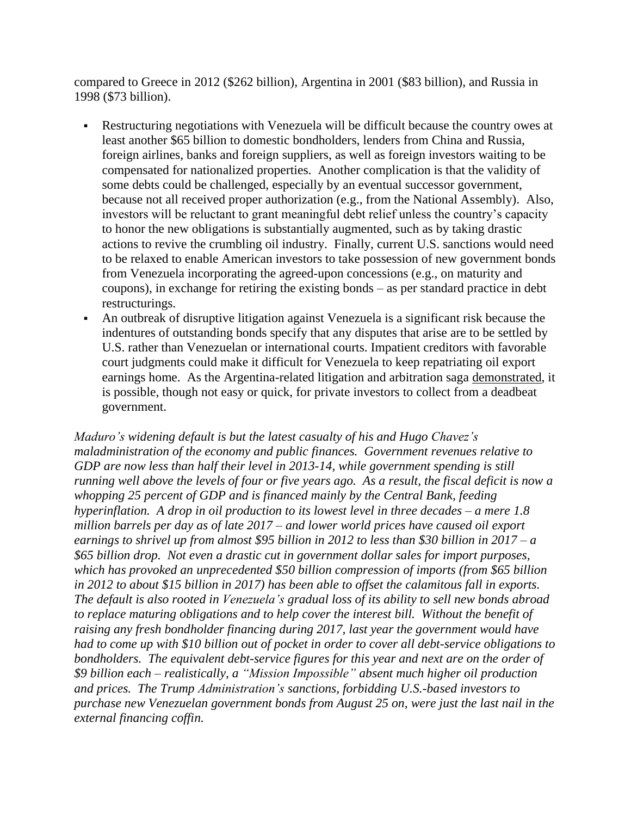compared to Greece in 2012 (\$262 billion), Argentina in 2001 (\$83 billion), and Russia in 1998 (\$73 billion).

- Restructuring negotiations with Venezuela will be difficult because the country owes at least another \$65 billion to domestic bondholders, lenders from China and Russia, foreign airlines, banks and foreign suppliers, as well as foreign investors waiting to be compensated for nationalized properties. Another complication is that the validity of some debts could be challenged, especially by an eventual successor government, because not all received proper authorization (e.g., from the National Assembly). Also, investors will be reluctant to grant meaningful debt relief unless the country's capacity to honor the new obligations is substantially augmented, such as by taking drastic actions to revive the crumbling oil industry. Finally, current U.S. sanctions would need to be relaxed to enable American investors to take possession of new government bonds from Venezuela incorporating the agreed-upon concessions (e.g., on maturity and coupons), in exchange for retiring the existing bonds – as per standard practice in debt restructurings.
- An outbreak of disruptive litigation against Venezuela is a significant risk because the indentures of outstanding bonds specify that any disputes that arise are to be settled by U.S. rather than Venezuelan or international courts. Impatient creditors with favorable court judgments could make it difficult for Venezuela to keep repatriating oil export earnings home. As the Argentina-related litigation and arbitration saga [demonstrated,](http://auapps.american.edu/aporzeca/www/Origins%20of%20Argentinas%20Litigation%20&%20Arbitration%20Saga%202002-2016.pdf) it is possible, though not easy or quick, for private investors to collect from a deadbeat government.

*Maduro's widening default is but the latest casualty of his and Hugo Chavez's maladministration of the economy and public finances. Government revenues relative to GDP are now less than half their level in 2013-14, while government spending is still* running well above the levels of four or five years ago. As a result, the fiscal deficit is now a *whopping 25 percent of GDP and is financed mainly by the Central Bank, feeding hyperinflation. A drop in oil production to its lowest level in three decades – a mere 1.8 million barrels per day as of late 2017 – and lower world prices have caused oil export earnings to shrivel up from almost \$95 billion in 2012 to less than \$30 billion in 2017 – a \$65 billion drop. Not even a drastic cut in government dollar sales for import purposes, which has provoked an unprecedented \$50 billion compression of imports (from \$65 billion in 2012 to about \$15 billion in 2017) has been able to offset the calamitous fall in exports. The default is also rooted in Venezuela's gradual loss of its ability to sell new bonds abroad to replace maturing obligations and to help cover the interest bill. Without the benefit of raising any fresh bondholder financing during 2017, last year the government would have had to come up with \$10 billion out of pocket in order to cover all debt-service obligations to bondholders. The equivalent debt-service figures for this year and next are on the order of \$9 billion each – realistically, a "Mission Impossible" absent much higher oil production and prices. The Trump Administration's sanctions, forbidding U.S.-based investors to purchase new Venezuelan government bonds from August 25 on, were just the last nail in the external financing coffin.*